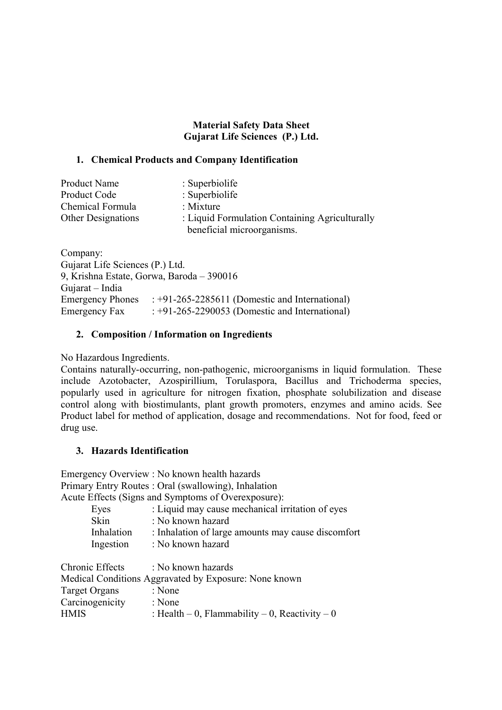### **Material Safety Data Sheet Gujarat Life Sciences (P.) Ltd.**

### **1. Chemical Products and Company Identification**

| <b>Product Name</b>       | $\therefore$ Superbiolife                      |
|---------------------------|------------------------------------------------|
| Product Code              | : Superbiolife                                 |
| Chemical Formula          | : Mixture                                      |
| <b>Other Designations</b> | : Liquid Formulation Containing Agriculturally |
|                           | beneficial microorganisms.                     |

Company: Gujarat Life Sciences (P.) Ltd. 9, Krishna Estate, Gorwa, Baroda – 390016 Gujarat – India Emergency Phones : +91-265-2285611 (Domestic and International) Emergency Fax  $: +91-265-2290053$  (Domestic and International)

## **2. Composition / Information on Ingredients**

No Hazardous Ingredients.

Contains naturally-occurring, non-pathogenic, microorganisms in liquid formulation. These include Azotobacter, Azospirillium, Torulaspora, Bacillus and Trichoderma species, popularly used in agriculture for nitrogen fixation, phosphate solubilization and disease control along with biostimulants, plant growth promoters, enzymes and amino acids. See Product label for method of application, dosage and recommendations. Not for food, feed or drug use.

## **3. Hazards Identification**

Emergency Overview : No known health hazards Primary Entry Routes : Oral (swallowing), Inhalation Acute Effects (Signs and Symptoms of Overexposure):

| Eyes        | : Liquid may cause mechanical irritation of eyes   |
|-------------|----------------------------------------------------|
| <b>Skin</b> | : No known hazard                                  |
| Inhalation  | : Inhalation of large amounts may cause discomfort |
| Ingestion   | : No known hazard                                  |
|             |                                                    |

| Chronic Effects                                       | : No known hazards                             |  |
|-------------------------------------------------------|------------------------------------------------|--|
| Medical Conditions Aggravated by Exposure: None known |                                                |  |
| Target Organs                                         | : None                                         |  |
| Carcinogenicity                                       | : None                                         |  |
| <b>HMIS</b>                                           | : Health – 0, Flammability – 0, Reactivity – 0 |  |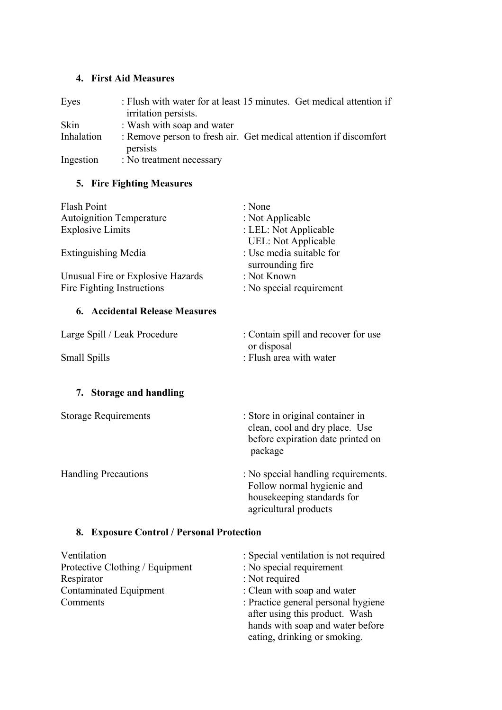### **4. First Aid Measures**

| Eyes       | : Flush with water for at least 15 minutes. Get medical attention if<br>irritation persists. |
|------------|----------------------------------------------------------------------------------------------|
| Skin       | : Wash with soap and water                                                                   |
| Inhalation | : Remove person to fresh air. Get medical attention if discomfort<br>persists                |
| Ingestion  | : No treatment necessary                                                                     |

# **5. Fire Fighting Measures**

| Flash Point                                                     | : None                                       |
|-----------------------------------------------------------------|----------------------------------------------|
| <b>Autoignition Temperature</b>                                 | : Not Applicable                             |
| <b>Explosive Limits</b>                                         | : LEL: Not Applicable                        |
|                                                                 | <b>UEL:</b> Not Applicable                   |
| <b>Extinguishing Media</b>                                      | : Use media suitable for<br>surrounding fire |
| Unusual Fire or Explosive Hazards<br>Fire Fighting Instructions | : Not Known<br>: No special requirement      |

# **6. Accidental Release Measures**

| Large Spill / Leak Procedure | : Contain spill and recover for use |
|------------------------------|-------------------------------------|
|                              | or disposal                         |
| <b>Small Spills</b>          | : Flush area with water             |

# **7. Storage and handling**

| <b>Storage Requirements</b> | : Store in original container in<br>clean, cool and dry place. Use<br>before expiration date printed on<br>package |
|-----------------------------|--------------------------------------------------------------------------------------------------------------------|
| <b>Handling Precautions</b> | : No special handling requirements.<br>Follow normal hygienic and                                                  |

housekeeping standards for

agricultural products

# **8. Exposure Control / Personal Protection**

| Ventilation                     | : Special ventilation is not required                                 |
|---------------------------------|-----------------------------------------------------------------------|
| Protective Clothing / Equipment | : No special requirement                                              |
| Respirator                      | : Not required                                                        |
| <b>Contaminated Equipment</b>   | : Clean with soap and water                                           |
| Comments                        | : Practice general personal hygiene<br>after using this product. Wash |
|                                 | hands with soap and water before<br>eating, drinking or smoking.      |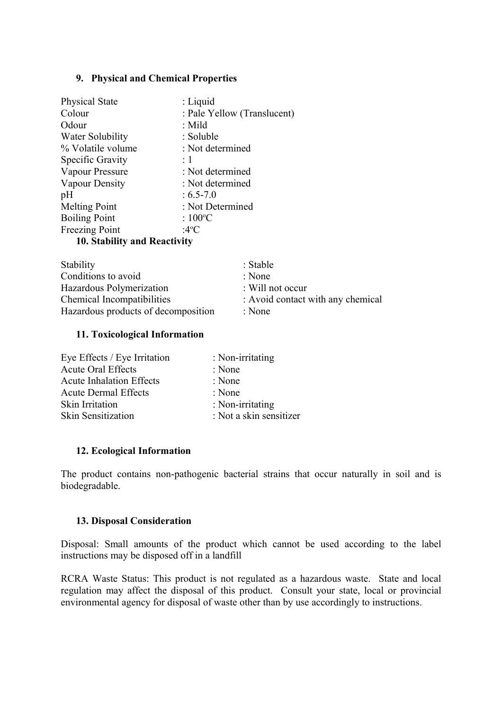### **9. Physical and Chemical Properties**

| <b>Physical State</b>                                                                   | $:$ Liquid                  |
|-----------------------------------------------------------------------------------------|-----------------------------|
| Colour                                                                                  | : Pale Yellow (Translucent) |
| Odour                                                                                   | $:$ Mild                    |
| Water Solubility                                                                        | : Soluble                   |
| % Volatile volume                                                                       | : Not determined            |
| Specific Gravity                                                                        | $\div 1$                    |
| Vapour Pressure                                                                         | : Not determined            |
| Vapour Density                                                                          | : Not determined            |
| pH                                                                                      | $: 6.5 - 7.0$               |
| <b>Melting Point</b>                                                                    | : Not Determined            |
| <b>Boiling Point</b>                                                                    | : $100^{\circ}$ C           |
| Freezing Point                                                                          | :4°C                        |
| $10.$ $\Omega_{\rm{ab}}$ $\Omega_{\rm{tot}}$ and $\Omega_{\rm{co}}$ $\Omega_{\rm{tot}}$ |                             |

**10. Stability and Reactivity**

| Stability                           | : Stable                          |
|-------------------------------------|-----------------------------------|
| Conditions to avoid                 | : None                            |
| Hazardous Polymerization            | : Will not occur                  |
| Chemical Incompatibilities          | : Avoid contact with any chemical |
| Hazardous products of decomposition | : None                            |

### **11. Toxicological Information**

| : Non-irritating        |
|-------------------------|
| : None                  |
| : None                  |
| : None                  |
| : Non-irritating        |
| : Not a skin sensitizer |
|                         |

## **12. Ecological Information**

The product contains non-pathogenic bacterial strains that occur naturally in soil and is biodegradable.

## **13. Disposal Consideration**

Disposal: Small amounts of the product which cannot be used according to the label instructions may be disposed off in a landfill

RCRA Waste Status: This product is not regulated as a hazardous waste. State and local regulation may affect the disposal of this product. Consult your state, local or provincial environmental agency for disposal of waste other than by use accordingly to instructions.